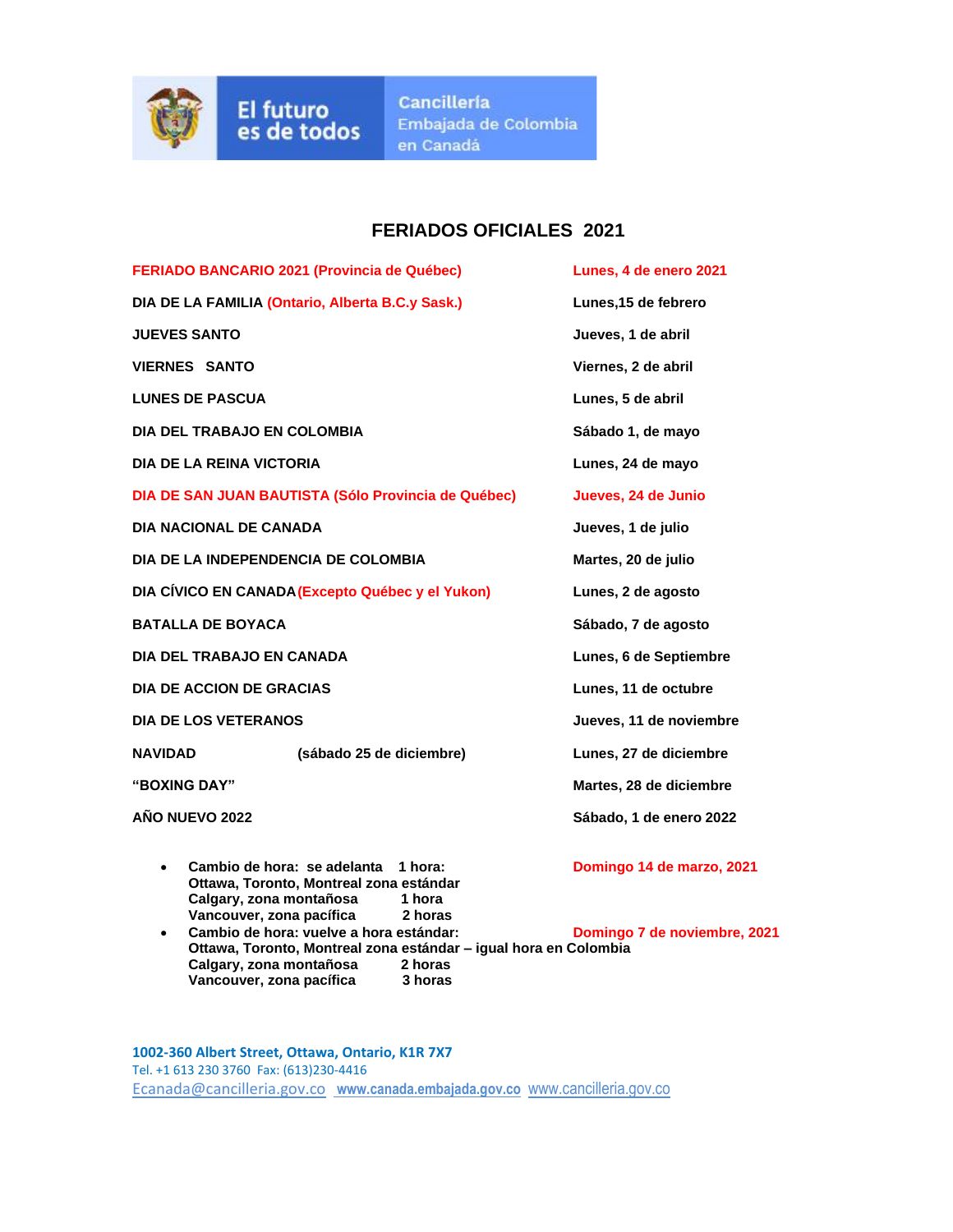

## **FERIADOS OFICIALES 2021**

**FERIADO BANCARIO 2021 (Provincia de Québec) Lunes, 4 de enero 2021 DIA DE LA FAMILIA (Ontario, Alberta B.C.y Sask.) Lunes,15 de febrero JUEVES SANTO Jueves, 1 de abril VIERNES SANTO Viernes, 2 de abril LUNES DE PASCUA Lunes, 5 de abril DIA DEL TRABAJO EN COLOMBIA Sábado 1, de mayo DIA DE LA REINA VICTORIA Lunes, 24 de mayo DIA DE SAN JUAN BAUTISTA (Sólo Provincia de Québec) Jueves, 24 de Junio DIA NACIONAL DE CANADA Jueves, 1 de julio DIA DE LA INDEPENDENCIA DE COLOMBIA Martes, 20 de julio DIA CÍVICO EN CANADA(Excepto Québec y el Yukon) Lunes, 2 de agosto BATALLA DE BOYACA Sábado, 7 de agosto DIA DEL TRABAJO EN CANADA Lunes, 6 de Septiembre DIA DE ACCION DE GRACIAS Lunes, 11 de octubre DIA DE LOS VETERANOS Jueves, 11 de noviembre NAVIDAD (sábado 25 de diciembre) Lunes, 27 de diciembre "BOXING DAY" Martes, 28 de diciembre AÑO NUEVO 2022 Sábado, 1 de enero 2022** • **Cambio de hora: se adelanta 1 hora: Domingo 14 de marzo, 2021**

- **Ottawa, Toronto, Montreal zona estándar Calgary, zona montañosa 1 hora Vancouver, zona pacífica 2 horas**
- **Cambio de hora: vuelve a hora estándar: Domingo 7 de noviembre, 2021 Ottawa, Toronto, Montreal zona estándar – igual hora en Colombia Calgary, zona montañosa 2 horas Vancouver, zona pacífica 3 horas**

- 
- 

**1002-360 Albert Street, Ottawa, Ontario, K1R 7X7** Tel. +1 613 230 3760 Fax: (613)230-4416 [Ecanada@cancilleria.gov.co](mailto:Ecanada@cancilleria.gov.co) **[www.canada.embajada.gov.co](http://www.canada.embajada.gov.co/)** [www.cancilleria.gov.co](http://www.cancilleria.gov.co/)